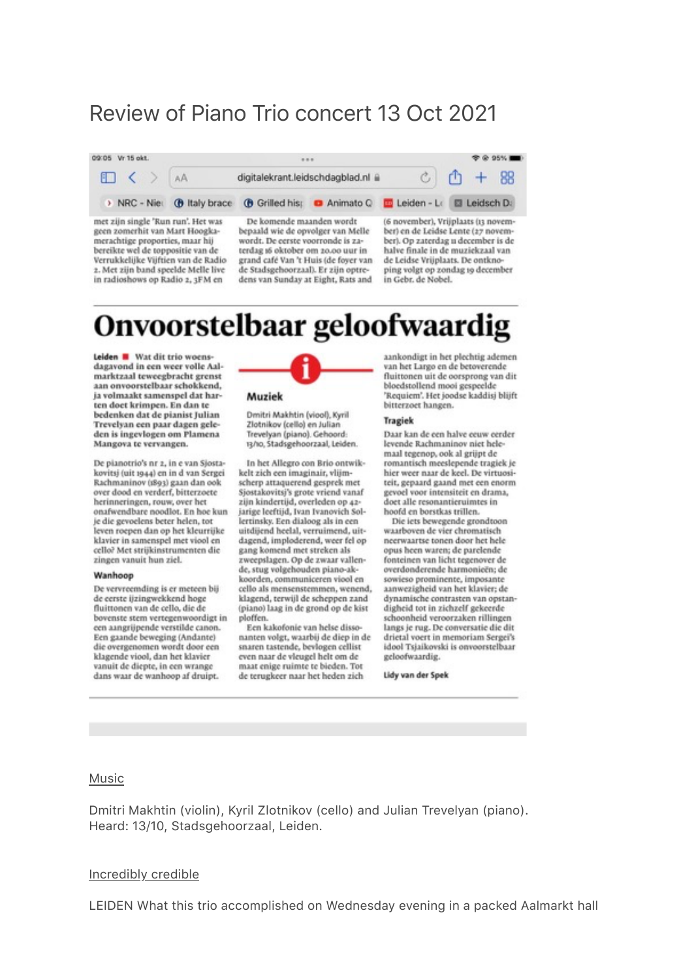# Review of Piano Trio concert 13 Oct 2021

| 09:05 Vr 15 okt.                   |                                   |                                                                                            |  |                                     |  |              | <b>TO 95%</b> |
|------------------------------------|-----------------------------------|--------------------------------------------------------------------------------------------|--|-------------------------------------|--|--------------|---------------|
| $\Box \langle \rangle$ AA          | digitalekrant.leidschdagblad.nl @ |                                                                                            |  |                                     |  | $C$ $C$ + 88 |               |
|                                    |                                   | > NRC - Nie: (b) Italy brace (b) Grilled his: (c) Animato Q [c] Leiden - L: [c] Leidsch D: |  |                                     |  |              |               |
| met zijn single 'Run run'. Het was |                                   | De komende maanden wordt                                                                   |  | (6 november), Vrijplaats (13 novem- |  |              |               |

geen zomerhit van Mart Hoogkamerachtige proporties, maar hij bereikte wel de toppositie van de Verrukkelijke Vijftien van de Radio 2. Met zijn band speelde Melle live in radioshows op Radio 2, 3FM en

bepaald wie de opvolger van Melle wordt. De eerste voorronde is zaterdag 16 oktober om 20.00 uur in grand café Van 't Huis (de foyer van de Stadsgehoorzaal). Er zijn optredens van Sunday at Eight, Rats and

ber) en de Leidse Lente (27 november). Op zaterdag u december is de halve finale in de muziekzaal van de Leidse Vrijplaats. De ontknoping volgt op zondag 19 december in Gebr. de Nobel.

# Onvoorstelbaar geloofwaardig

Leiden Wat dit trio woensdagayond in een weer volle Aalmarktzaal teweegbracht grenst aan onvoorstelbaar schokkend. ia volmaakt samenspel dat harten doet krimpen. En dan te bedenken dat de pianist Julian Trevelyan een paar dagen geleden is ingevlogen om Plamena Mangova te vervangen.

De pianotrio's nr 2, in e van Sjostakovitsj (uit 1944) en in d van Sergei Rachmaninov (1893) gaan dan ook over dood en verderf, bitterzoete herinneringen, rouw, over het onafwendbare noodlot. En hoe kun je die gevoelens beter helen, tot leven roepen dan op het kleurrijke klavier in samenspel met viool en cello? Met strijkinstrumenten die zingen vanuit hun ziel.

#### Wanhoop

De vervreemding is er meteen bij de eerste ijzingwekkend hoge fluittonen van de cello, die de bovenste stem vertegenwoordigt in een aangrijpende verstilde canon. Een gaande beweging (Andante) die overgenomen wordt door een klagende viool, dan het klavier vanuit de diepte, in een wrange dans waar de wanhoop af druipt.



Muziek

Dmitri Makhtin (viool), Kyril Zlotnikov (cello) en Julian Trevelyan (piano). Gehoord: 13/10, Stadsgehoorzaal, Leiden.

In het Allegro con Brio ontwikkelt zich een imaginair, vlijmscherp attaquerend gesprek met Sjostakovitsj's grote vriend vanaf zijn kindertijd, overleden op 42jarige leeftijd, Ivan Ivanovich Sollertinsky. Een dialoog als in een uitdijend heelal, verruimend, uitdagend, imploderend, weer fel op gang komend met streken als zweepslagen. Op de zwaar vallende, stug volgehouden piano-akkoorden, communiceren viool en cello als mensenstemmen, wenend, klagend, terwijl de scheppen zand (piano) laag in de grond op de kist ploffen.

Een kakofonie van helse dissonanten volgt, waarbij de diep in de snaren tastende, bevlogen cellist even naar de vleugel helt om de maat enige ruimte te bieden. Tot de terugkeer naar het heden zich

aankondigt in het plechtig ademen van het Largo en de betoverende fluittonen uit de oorsprong van dit bloedstollend mooi gespeelde 'Requiem'. Het joodse kaddisi blijft bitterzoet hangen.

#### Tragiek

Daar kan de een halve eeuw eerder levende Rachmaninov niet helemaal tegenop, ook al grijpt de romantisch meeslepende tragiek je hier weer naar de keel. De virtuositeit, gepaard gaand met een enorm gevoel voor intensiteit en drama, doet alle resonantieruimtes in hoofd en borstkas trillen.

Die iets bewegende grondtoon waarboven de vier chromatisch neerwaartse tonen door het hele opus heen waren; de parelende fonteinen van licht tegenover de overdonderende harmonieën; de sowieso prominente, imposante aanwezigheid van het klavier; de dynamische contrasten van opstandigheid tot in zichzelf gekeerde schoonheid veroorzaken rillingen langs je rug. De conversatie die dit drietal voert in memoriam Sergei's idool Tsiaikovski is onvoorstelbaar geloofwaardig.

Lidy van der Spek

#### Music

Dmitri Makhtin (violin), Kyril Zlotnikov (cello) and Julian Trevelyan (piano). Heard: 13/10, Stadsgehoorzaal, Leiden.

#### Incredibly credible

LEIDEN What this trio accomplished on Wednesday evening in a packed Aalmarkt hall